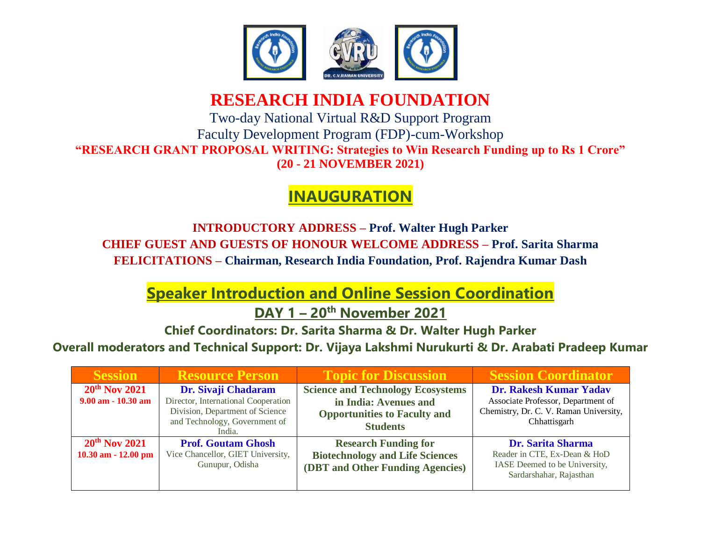

## **RESEARCH INDIA FOUNDATION**

Two-day National Virtual R&D Support Program Faculty Development Program (FDP)-cum-Workshop **"RESEARCH GRANT PROPOSAL WRITING: Strategies to Win Research Funding up to Rs 1 Crore" (20 - 21 NOVEMBER 2021)**

# **INAUGURATION**

**INTRODUCTORY ADDRESS – Prof. Walter Hugh Parker CHIEF GUEST AND GUESTS OF HONOUR WELCOME ADDRESS – Prof. Sarita Sharma FELICITATIONS – Chairman, Research India Foundation, Prof. Rajendra Kumar Dash**

**Speaker Introduction and Online Session Coordination**

**DAY 1 – 20th November 2021**

**Chief Coordinators: Dr. Sarita Sharma & Dr. Walter Hugh Parker**

**Overall moderators and Technical Support: Dr. Vijaya Lakshmi Nurukurti & Dr. Arabati Pradeep Kumar**

| <b>Session</b>                               | <b>Resource Person</b>                                                                                                                   | <b>Topic for Discussion</b>                                                                                                 | <b>Session Coordinator</b>                                                                                             |
|----------------------------------------------|------------------------------------------------------------------------------------------------------------------------------------------|-----------------------------------------------------------------------------------------------------------------------------|------------------------------------------------------------------------------------------------------------------------|
| $20^{th}$ Nov 2021<br>$9.00$ am $-10.30$ am  | Dr. Sivaji Chadaram<br>Director, International Cooperation<br>Division, Department of Science<br>and Technology, Government of<br>India. | <b>Science and Technology Ecosystems</b><br>in India: Avenues and<br><b>Opportunities to Faculty and</b><br><b>Students</b> | Dr. Rakesh Kumar Yadav<br>Associate Professor, Department of<br>Chemistry, Dr. C. V. Raman University,<br>Chhattisgarh |
| $20^{th}$ Nov 2021<br>$10.30$ am $-12.00$ pm | <b>Prof. Goutam Ghosh</b><br>Vice Chancellor, GIET University,<br>Gunupur, Odisha                                                        | <b>Research Funding for</b><br><b>Biotechnology and Life Sciences</b><br>(DBT and Other Funding Agencies)                   | <b>Dr. Sarita Sharma</b><br>Reader in CTE, Ex-Dean & HoD<br>IASE Deemed to be University,<br>Sardarshahar, Rajasthan   |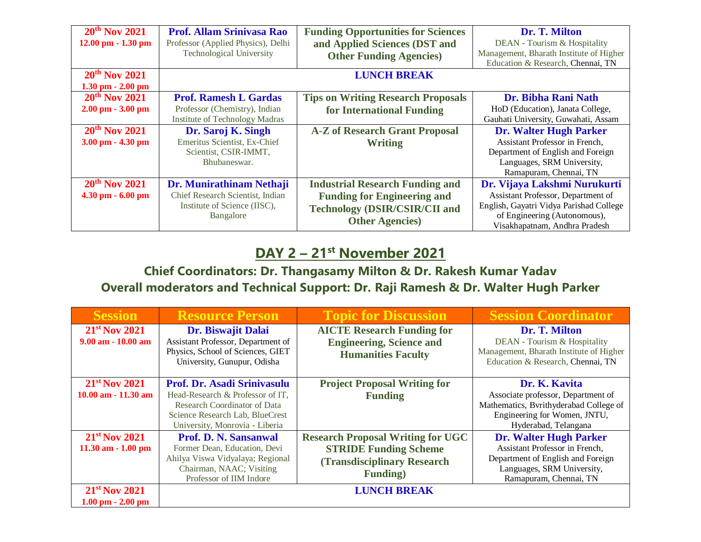| $20th$ Nov 2021<br>$12.00$ pm $- 1.30$ pm              | <b>Prof. Allam Srinivasa Rao</b><br>Professor (Applied Physics), Delhi<br><b>Technological University</b> | <b>Funding Opportunities for Sciences</b><br>and Applied Sciences (DST and<br><b>Other Funding Agencies</b> )                                   | Dr. T. Milton<br>DEAN - Tourism & Hospitality<br>Management, Bharath Institute of Higher<br>Education & Research, Chennai, TN                                                  |
|--------------------------------------------------------|-----------------------------------------------------------------------------------------------------------|-------------------------------------------------------------------------------------------------------------------------------------------------|--------------------------------------------------------------------------------------------------------------------------------------------------------------------------------|
| $20th$ Nov 2021<br>$1.30$ pm $- 2.00$ pm               |                                                                                                           | <b>LUNCH BREAK</b>                                                                                                                              |                                                                                                                                                                                |
| $20th$ Nov 2021<br>$2.00 \text{ pm} - 3.00 \text{ pm}$ | <b>Prof. Ramesh L Gardas</b><br>Professor (Chemistry), Indian<br><b>Institute of Technology Madras</b>    | <b>Tips on Writing Research Proposals</b><br>for International Funding                                                                          | Dr. Bibha Rani Nath<br>HoD (Education), Janata College,<br>Gauhati University, Guwahati, Assam                                                                                 |
| $20th$ Nov 2021<br>$3.00$ pm $- 4.30$ pm               | Dr. Saroj K. Singh<br>Emeritus Scientist, Ex-Chief<br>Scientist, CSIR-IMMT,<br>Bhubaneswar.               | <b>A-Z of Research Grant Proposal</b><br><b>Writing</b>                                                                                         | <b>Dr. Walter Hugh Parker</b><br>Assistant Professor in French,<br>Department of English and Foreign<br>Languages, SRM University,<br>Ramapuram, Chennai, TN                   |
| $20th$ Nov 2021<br>$4.30$ pm $-6.00$ pm                | Dr. Munirathinam Nethaji<br>Chief Research Scientist, Indian<br>Institute of Science (IISC),<br>Bangalore | <b>Industrial Research Funding and</b><br><b>Funding for Engineering and</b><br><b>Technology (DSIR/CSIR/CII and</b><br><b>Other Agencies</b> ) | Dr. Vijaya Lakshmi Nurukurti<br>Assistant Professor, Department of<br>English, Gayatri Vidya Parishad College<br>of Engineering (Autonomous),<br>Visakhapatnam, Andhra Pradesh |

#### **DAY 2 – 21 st November 2021**

#### **Chief Coordinators: Dr. Thangasamy Milton & Dr. Rakesh Kumar Yadav Overall moderators and Technical Support: Dr. Raji Ramesh & Dr. Walter Hugh Parker**

| <b>Session</b>                                                                       | <b>Resource Person</b>                                                                                                                                               | <b>Topic for Discussion</b>                                                                                                                               | <b>Session Coordinator</b>                                                                                                                                   |
|--------------------------------------------------------------------------------------|----------------------------------------------------------------------------------------------------------------------------------------------------------------------|-----------------------------------------------------------------------------------------------------------------------------------------------------------|--------------------------------------------------------------------------------------------------------------------------------------------------------------|
| $21st$ Nov 2021<br>$9.00$ am $-10.00$ am                                             | Dr. Biswajit Dalai<br>Assistant Professor, Department of<br>Physics, School of Sciences, GIET<br>University, Gunupur, Odisha                                         | <b>AICTE Research Funding for</b><br><b>Engineering, Science and</b><br><b>Humanities Faculty</b>                                                         | Dr. T. Milton<br>DEAN - Tourism & Hospitality<br>Management, Bharath Institute of Higher<br>Education & Research, Chennai, TN                                |
| $21st$ Nov 2021<br>$10.00$ am $-11.30$ am                                            | Prof. Dr. Asadi Srinivasulu<br>Head-Research & Professor of IT,<br>Research Coordinator of Data<br>Science Research Lab, BlueCrest<br>University, Monrovia - Liberia | <b>Project Proposal Writing for</b><br><b>Funding</b>                                                                                                     | Dr. K. Kavita<br>Associate professor, Department of<br>Mathematics, Bvrithyderabad College of<br>Engineering for Women, JNTU,<br>Hyderabad, Telangana        |
| $21st$ Nov 2021<br>$11.30$ am $-1.00$ pm<br>$21st$ Nov 2021<br>$1.00$ pm $- 2.00$ pm | Prof. D. N. Sansanwal<br>Former Dean, Education, Devi<br>Ahilya Viswa Vidyalaya; Regional<br>Chairman, NAAC; Visiting<br>Professor of IIM Indore                     | <b>Research Proposal Writing for UGC</b><br><b>STRIDE Funding Scheme</b><br><b>(Transdisciplinary Research)</b><br><b>Funding</b> )<br><b>LUNCH BREAK</b> | <b>Dr. Walter Hugh Parker</b><br>Assistant Professor in French,<br>Department of English and Foreign<br>Languages, SRM University,<br>Ramapuram, Chennai, TN |